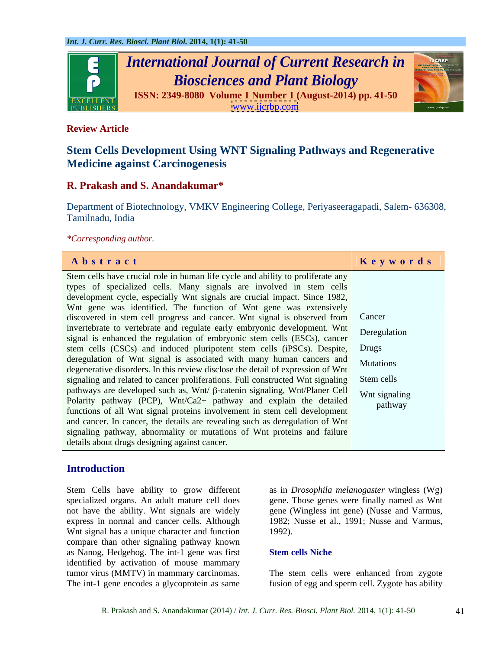

### **Review Article**

# **Stem Cells Development Using WNT Signaling Pathways and Regenerative Medicine against Carcinogenesis**

### **R. Prakash and S. Anandakumar\***

Department of Biotechnology, VMKV Engineering College, Periyaseeragapadi, Salem- 636308, Tamilnadu, India

*\*Corresponding author.*

## **Introduction**

Stem Cells have ability to grow different as in *Drosophila melanogaster* wingless (Wg) specialized organs. An adult mature cell does gene. Those genes were finally named as Wnt not have the ability. Wnt signals are widely gene (Wingless int gene) (Nusse and Varmus, express in normal and cancer cells. Although 1982; Nusse et al., 1991; Nusse and Varmus, Wnt signal has a unique character and function 1992). compare than other signaling pathway known as Nanog, Hedgehog. The int-1 gene was first identified by activation of mouse mammary<br>tumor virus (MMTV) in mammary carcinomas. tumor virus (MMTV) in mammary carcinomas. The stem cells were enhanced from zygote

1992).

#### **Stem cells Niche**

The int-1 gene encodes a glycoprotein as same fusion of egg and sperm cell. Zygote has ability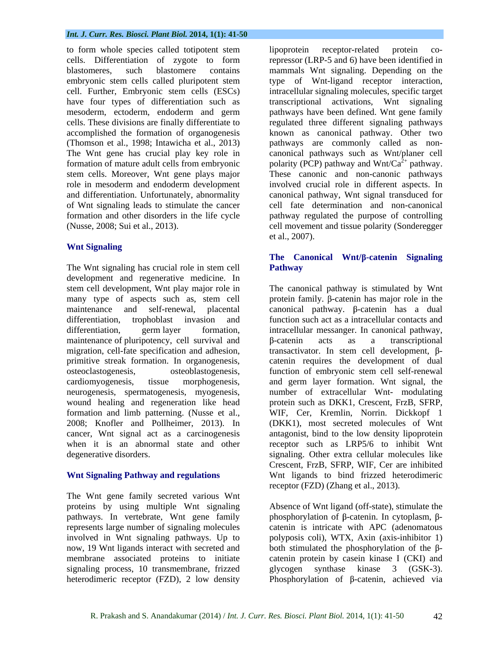#### *Int. J. Curr. Res. Biosci. Plant Biol.* **2014, 1(1): 41-50**

to form whole species called totipotent stem lipoprotein receptor-related protein cocells. Differentiation of zygote to form blastomeres, such blastomere contains mammals Wnt signaling. Depending on the embryonic stem cells called pluripotent stem type of Wnt-ligand receptor interaction, cell. Further, Embryonic stem cells (ESCs) have four types of differentiation such as mesoderm, ectoderm, endoderm and germ pathways have been defined. Wnt gene family cells. These divisions are finally differentiate to regulated three different signaling pathways accomplished the formation of organogenesis known as canonical pathway. Other two (Thomson et al., 1998; Intawicha et al., 2013) The Wnt gene has crucial play key role in canonical pathways such as Wnt/planer cell formation of mature adult cells from embryonic polarity (PCP) pathway and Wnt/Ca<sup>2+</sup> pathway. stem cells. Moreover, Wnt gene plays major These canonic and non-canonic pathways role in mesoderm and endoderm development involved crucial role in different aspects. In and differentiation. Unfortunately, abnormality canonical pathway, Wnt signal transduced for of Wnt signaling leads to stimulate the cancer cell fate determination and non-canonical formation and other disorders in the life cycle pathway regulated the purpose of controlling (Nusse, 2008; Sui et al., 2013). cell movement and tissue polarity (Sonderegger

#### **Wnt Signaling**

The Wnt signaling has crucial role in stem cell **Pathway** development and regenerative medicine. In maintenance of pluripotency, cell survival and <br>  $\beta$ -catenin acts as a transcriptional migration, cell-fate specification and adhesion, when it is an abnormal state and other

The Wnt gene family secreted various Wnt pathways. In vertebrate, Wnt gene family represents large number of signaling molecules now, 19 Wnt ligands interact with secreted and signaling process, 10 transmembrane, frizzed glycogen synthase kinase 3 (GSK-3).

lipoprotein receptor-related protein corepressor (LRP-5 and 6) have been identified in intracellular signaling molecules, specific target transcriptional activations, Wnt signaling pathways are commonly called as non et al., 2007).

#### **The Canonical Wnt/ -catenin Signaling Pathway**

stem cell development, Wnt play major role in The canonical pathway is stimulated by Wnt many type of aspects such as, stem cell protein family.  $\beta$ -catenin has major role in the maintenance and self-renewal, placental canonical pathway.  $\beta$ -catenin has a dual differentiation, trophoblast invasion and function such act as a intracellular contacts and differentiation, germ layer formation, intracellular messanger. In canonical pathway, primitive streak formation. In organogenesis, catenin requires the development of dual osteoclastogenesis, osteoblastogenesis, function of embryonic stem cell self-renewal cardiomyogenesis, tissue morphogenesis, and germ layer formation. Wnt signal, the neurogenesis, spermatogenesis, myogenesis, number of extracellular Wnt- modulating wound healing and regeneration like head protein such as DKK1, Crescent, FrzB, SFRP, formation and limb patterning. (Nusse et al., WIF, Cer, Kremlin, Norrin. Dickkopf 1 2008; Knofler and Pollheimer, 2013). In (DKK1), most secreted molecules of Wnt cancer, Wnt signal act as a carcinogenesis antagonist, bind to the low density lipoprotein degenerative disorders. signaling. Other extra cellular molecules like Wnt Signaling Pathway and regulations Wnt ligands to bind frizzed heterodimeric -catenin acts as a transcriptional transactivator. In stem cell development,  $\beta$ receptor such as LRP5/6 to inhibit Wnt Crescent, FrzB, SFRP, WIF, Cer are inhibited receptor (FZD) (Zhang et al., 2013).

proteins by using multiple Wnt signaling Absence of Wnt ligand (off-state), stimulate the involved in Wnt signaling pathways. Up to polyposis coli), WTX, Axin (axis-inhibitor 1) membrane associated proteins to initiate catenin protein by casein kinase I (CKI) and heterodimeric receptor (FZD), 2 low density between Phosphorylation of β-catenin, achieved via phosphorylation of  $\beta$ -catenin. In cytoplasm,  $\beta$ catenin is intricate with APC (adenomatous both stimulated the phosphorylation of the  $\beta$ glycogen synthase kinase 3 (GSK-3).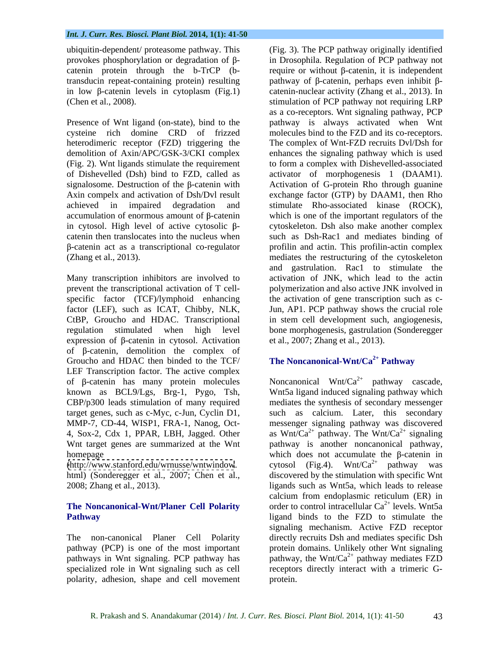in low  $\beta$ -catenin levels in cytoplasm (Fig.1)

heterodimeric receptor (FZD) triggering the

expression of  $\beta$ -catenin in cytosol. Activation of  $\beta$ -catenin, demolition the complex of Groucho and HDAC then binded to the TCF/ LEF Transcription factor. The active complex of  $\beta$ -catenin has many protein molecules known as BCL9/Lgs, Brg-1, Pygo, Tsh,

[\(http://www.stanford.edu/wrnusse/wntwindow](http://www.stanford.edu/wrnusse/wntwindow).

# **The Noncanonical-Wnt/Planer Cell Polarity**

specialized role in Wnt signaling such as cell polarity, adhesion, shape and cell movement

ubiquitin-dependent/ proteasome pathway. This (Fig. 3). The PCP pathway originally identified provokes phosphorylation or degradation of  $\beta$ - in Drosophila. Regulation of PCP pathway not catenin protein through the  $b$ -TrCP ( $b$ - require or without  $\beta$ -catenin, it is independent transducin repeat-containing protein) resulting  $\qquad$  pathway of  $\beta$ -catenin, perhaps even inhibit  $\beta$ -(Chen et al., 2008). stimulation of PCP pathway not requiring LRP Presence of Wnt ligand (on-state), bind to the pathway is always activated when Wnt cysteine rich domine CRD of frizzed moleculesbind to the FZD and its co-receptors. demolition of Axin/APC/GSK-3/CKI complex enhances the signaling pathway which is used (Fig. 2). Wnt ligands stimulate the requirement to form a complex with Dishevelled-associated of Dishevelled (Dsh) bind to FZD, called as activator of morphogenesis 1 (DAAM1).  $signalo$ some. Destruction of the  $\beta$ -catenin with Activation of G-protein Rho through guanine Axin compelx and activation of Dsh/Dvl result exchange factor (GTP) by DAAM1, then Rho achieved in impaired degradation and stimulate Rho-associated kinase (ROCK), accumulation of enormous amount of  $\beta$ -catenin which is one of the important regulators of the in cytosol. High level of active cytosolic  $\beta$ - cytoskeleton. Dsh also make another complex catenin then translocates into the nucleus when such as Dsh-Rac1 and mediates binding of -catenin act as a transcriptional co-regulator profilin and actin. This profilin-actin complex (Zhang et al., 2013). mediates the restructuring of the cytoskeleton Many transcription inhibitors are involved to activation of JNK, which lead to the actin prevent the transcriptional activation of T cell- polymerization and also active JNK involved in specific factor (TCF)/lymphoid enhancing the activation of gene transcription such as cfactor (LEF), such as ICAT, Chibby, NLK, Jun, AP1. PCP pathway shows the crucial role CtBP, Groucho and HDAC. Transcriptional in stem cell development such, angiogenesis, regulation stimulated when high level bone morphogenesis, gastrulation (Sonderegger catenin-nuclear activity (Zhang et al., 2013). In as a co-receptors. Wnt signaling pathway, PCP The complex of Wnt-FZD recruits Dvl/Dsh for and gastrulation. Rac1 to stimulate the et al., 2007; Zhang et al., 2013).

## **The Noncanonical-Wnt/Ca2+ Pathway**

CBP/p300 leads stimulation of many required mediates the synthesis of secondary messenger target genes, such as c-Myc, c-Jun, Cyclin D1, such as calcium. Later, this secondary MMP-7, CD-44, WISP1, FRA-1, Nanog, Oct- messenger signaling pathway was discovered 4, Sox-2, Cdx 1, PPAR, LBH, Jagged. Other as Wnt/Ca<sup>2+</sup> pathway. The Wnt/Ca<sup>2+</sup> signaling Wnt target genes are summarized at the Wnt pathway is another noncanonical pathway, homepage which does not accumulate the  $\beta$ -catenin in html) (Sonderegger et al., 2007; Chen et al., discovered by the stimulation with specific Wnt 2008; Zhang et al., 2013). ligands such as Wnt5a, which leads to release **Pathway ligand** binds to the FZD to stimulate the The non-canonical Planer Cell Polarity directly recruits Dsh and mediates specific Dsh pathway (PCP) is one of the most important protein domains. Unlikely other Wnt signaling pathways in Wnt signaling. PCP pathway has  $\int$  pathway, the Wnt/Ca<sup>2+</sup> pathway mediates FZD Noncanonical Wnt/Ca<sup>2+</sup> pathway cascade, Wnt5a ligand induced signaling pathway which cytosol (Fig.4). Wnt/Ca<sup>2+</sup> pathway was calcium from endoplasmic reticulum (ER) in order to control intracellular  $Ca^{2+}$  levels. Wnt5a signaling mechanism. Active FZD receptor receptors directly interact with a trimeric Gprotein.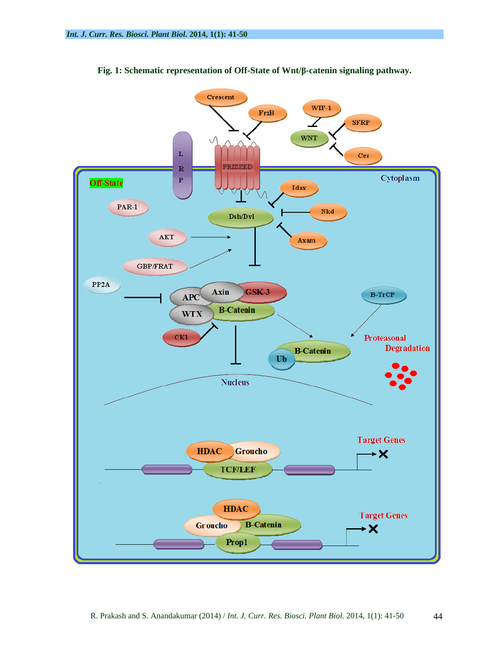

**Fig. 1: Schematic representation of Off-State of Wnt/ -catenin signaling pathway.**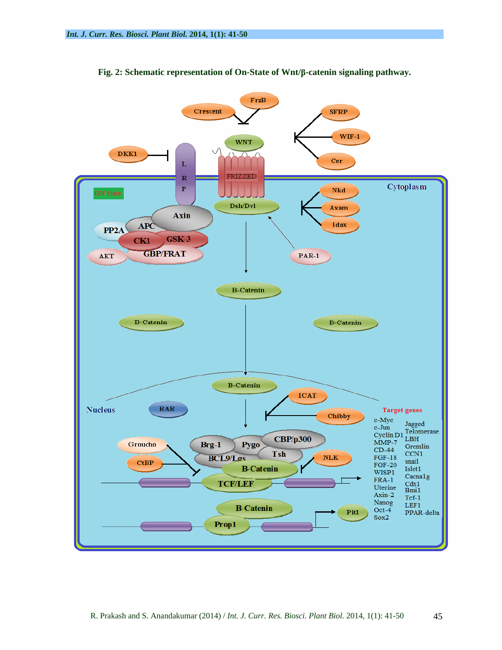

**Fig. 2: Schematic representation of On-State of Wnt/ -catenin signaling pathway.**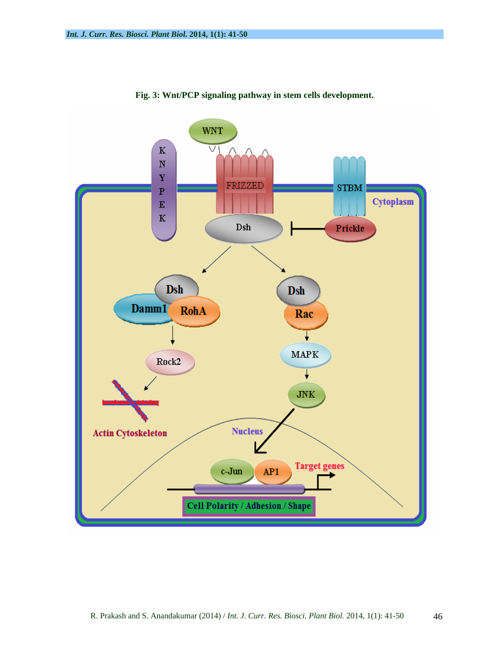

**Fig. 3: Wnt/PCP signaling pathway in stem cells development.**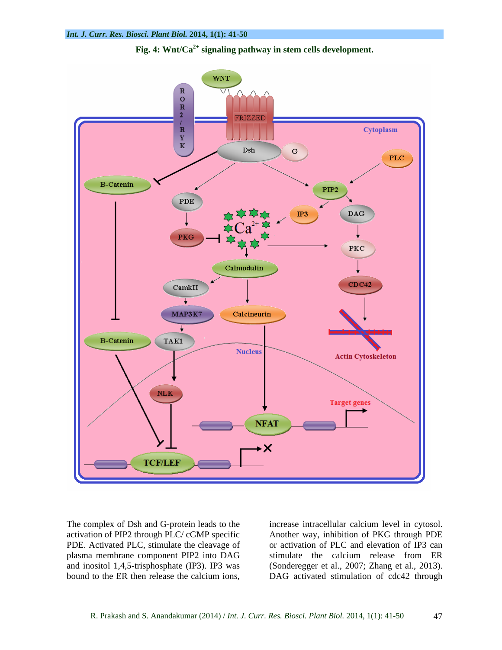



The complex of Dsh and G-protein leads to the increase intracellular calcium level in cytosol. activation of PIP2 through PLC/ cGMP specific

PDE. Activated PLC, stimulate the cleavage of or activation of PLC and elevation of IP3 can plasma membrane component PIP2 into DAG stimulate the calcium release from ER and inositol 1,4,5-trisphosphate (IP3). IP3 was (Sonderegger et al., 2007; Zhang et al., 2013). The complex of Dsh and G-protein leads to the increase intracellular calcium level in cytosol.<br>
activation of PIP2 through PLC/cGMP specific Another way, inhibition of PKG through PDE<br>
PDE. Activated PLC, stimulate the cle DAG activated stimulation of cdc42 through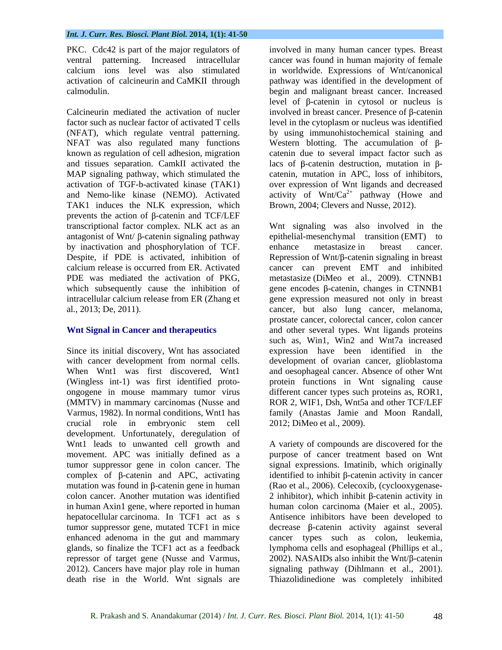PKC. Cdc42 is part of the major regulators of

(NFAT), which regulate ventral patterning. and tissues separation. CamkII activated the TAK1 induces the NLK expression, which prevents the action of  $\beta$ -catenin and TCF/LEF antagonist of Wnt/ $\beta$ -catenin signaling pathway by inactivation and phosphorylation of TCF. enhance metastasize in breast cancer.<br>Despite, if PDE is activated, inhibition of Repression of Wnt/ $\beta$ -catenin signaling in breast

Since its initial discovery, Wnt has associated development. Unfortunately, deregulation of Wnt1 leads to unwanted cell growth and A variety of compounds are discovered for the movement. APC was initially defined as a purpose of cancer treatment based on Wnt tumor suppressor gene in colon cancer. The signal expressions. Imatinib, which originally complex of  $\beta$ -catenin and APC, activating identified to inhibit  $\beta$ -catenin activity in cancer mutation was found in  $\beta$ -catenin gene in human colon cancer. Another mutation was identified  $\qquad$  2 inhibitor), which inhibit  $\beta$ -catenin activity in in human Axin1 gene, where reported in human human colon carcinoma (Maier et al., 2005). hepatocellular carcinoma. In TCF1 act as s Antisence inhibitors have been developed to tumor suppressor gene, mutated TCF1 in mice  $\qquad$  decrease  $\beta$ -catenin activity against several enhanced adenoma in the gut and mammary cancer types such as colon, leukemia, glands, so finalize the TCF1 act as a feedback lymphoma cells and esophageal (Phillips et al., repressor of target gene (Nusse and Varmus,  $2002$ ). NASAIDs also inhibit the Wnt/ $\beta$ -catenin 2012). Cancers have major play role in human signaling pathway (Dihlmann et al., 2001). death rise in the World. Wnt signals are Thiazolidinedione was completely inhibited

ventral patterning. Increased intracellular cancer was found in human majority of female calcium ions level was also stimulated in worldwide. Expressions of Wnt/canonical activation of calcineurin and CaMKII through pathway was identified in the development of calmodulin. begin and malignant breast cancer. Increased Calcineurin mediated the activation of nucler involved in breast cancer. Presence of  $\beta$ -catenin factor such as nuclear factor of activated T cells level in the cytoplasm or nucleus was identified NFAT was also regulated many functions Western blotting. The accumulation of  $\beta$ known as regulation of cell adhesion, migration catenin due to several impact factor such as MAP signaling pathway, which stimulated the catenin, mutation in APC, loss of inhibitors, activation of TGF-b-activated kinase (TAK1) over expression of Wnt ligands and decreased and Nemo-like kinase (NEMO). Activated activity of  $Wnt/Ca^{2+}$  pathway (Howe and involved in many human cancer types. Breast level of  $\beta$ -catenin in cytosol or nucleus is by using immunohistochemical staining and lacs of  $\beta$ -catenin destruction, mutation in  $\beta$ -Brown, 2004; Clevers and Nusse, 2012).

transcriptional factor complex. NLK act as an Wnt signaling was also involved in the Despite, if PDE is activated, inhibition of Repression of Wnt/ $\beta$ -catenin signaling in breast calcium release is occurred from ER. Activated PDE was mediated the activation of PKG, metastasize (DiMeo et al., 2009). CTNNB1 which subsequently cause the inhibition of gene encodes  $\beta$ -catenin, changes in CTNNB1 intracellular calcium release from ER (Zhang et gene expression measured not only in breast al., 2013; De, 2011). cancer, but also lung cancer, melanoma, Wnt Signal in Cancer and therapeutics and other several types. Wnt ligands proteins with cancer development from normal cells. development of ovarian cancer, glioblastoma When Wnt1 was first discovered, Wnt1 and oesophageal cancer. Absence of other Wnt (Wingless int-1) was first identified proto- protein functions in Wnt signaling cause ongogene in mouse mammary tumor virus different cancer types such proteins as, ROR1, (MMTV) in mammary carcinomas (Nusse and ROR 2, WIF1, Dsh, Wnt5a and other TCF/LEF Varmus, 1982). In normal conditions, Wnt1 has family (Anastas Jamie and Moon Randall, crucial role in embryonic stem cell epithelial-mesenchymal transition (EMT) to enhance metastasize in breast cancer. cancer can prevent EMT and inhibited prostate cancer, colorectal cancer, colon cancer such as, Win1, Win2 and Wnt7a increased expression have been identified in the 2012; DiMeo et al., 2009).

(Rao et al., 2006). Celecoxib, (cyclooxygenase-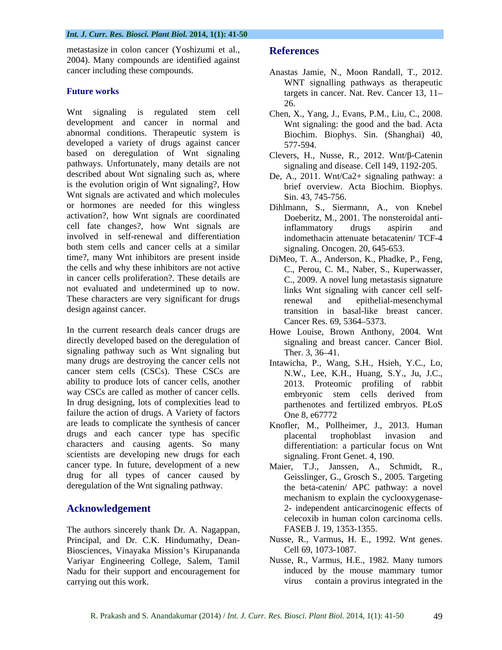metastasize in colon cancer (Yoshizumi et al., References 2004). Many compounds are identified against

Wnt signaling is regulated stem cell Chen, X., Yang, J., Evans, P.M., Liu, C., 2008. development and cancer in normal and abnormal conditions. Therapeutic system is Biochim. Biophys. Sin. (Shanghai) 40. developed a variety of drugs against cancer 577-594. based on deregulation of Wnt signaling Clevers, H., Nusse, R., 2012. Wnt/ $\beta$ -Catenin pathways. Unfortunately, many details are not described about Wnt signaling such as, where De, A., 2011. Wnt/Ca2+ signaling pathway: a is the evolution origin of Wnt signaling?, How Wnt signals are activated and which molecules or hormones are needed for this wingless Dihlmann, S., Siermann, A., von Knebel activation?, how Wnt signals are coordinated cell fate changes?, how Wnt signals are inflammatory drugs aspirin and involved in self-renewal and differentiation both stem cells and cancer cells at a similar time?, many Wnt inhibitors are present inside DiMeo, T. A., Anderson, K., Phadke, P., Feng, the cells and why these inhibitors are not active in cancer cells proliferation?. These details are not evaluated and undetermined up to now. links Wnt signaling with cancer cell self-These characters are very significant for drugs renewal and epithelial-mesenchymal

In the current research deals cancer drugs are directly developed based on the deregulation of signaling and breast cancer. Cancer Biol. signaling pathway such as Wnt signaling but Ther. 3, 36–41. many drugs are destroying the cancer cells not Intawicha, P., Wang, S.H., Hsieh, Y.C., Lo, cancer stem cells (CSCs). These CSCs are ability to produce lots of cancer cells, another way CSCs are called as mother of cancer cells. embryonic stem cells derived from In drug designing, lots of complexities lead to parthenotes and fertilized embryos. PLoS failure the action of drugs. A Variety of factors one 8, e67772 are leads to complicate the synthesis of cancer drugs and each cancer type has specific characters and causing agents. So many scientists are developing new drugs for each cancer type. In future, development of a new drug for all types of cancer caused by

The authors sincerely thank Dr. A. Nagappan, Principal, and Dr. C.K. Hindumathy, Dean- Biosciences, Vinayaka Mission's Kirupananda Variyar Engineering College, Salem, Tamil Nadu for their support and encouragement for carrying out this work. virus contain a provirus integrated in the

### **References**

- cancer including these compounds. Anastas Jamie, N., Moon Randall, T., 2012. **Future works** targets in cancer. Nat. Rev. Cancer 13, 11– WNT signalling pathways as therapeutic 26.
	- Wnt signaling: the good and the bad. Acta Biochim. Biophys. Sin. (Shanghai) 40, 577-594.
	- signaling and disease. Cell 149, 1192-205.
	- brief overview. Acta Biochim. Biophys. Sin. 43, 745-756.
	- Doeberitz, M., 2001. The nonsteroidal antiinflammatory drugs aspirin and indomethacin attenuate betacatenin/ TCF-4 signaling. Oncogen. 20, 645-653.
- design against cancer. transition in basal-like breast cancer. C., Perou, C. M., Naber, S., Kuperwasser, C., 2009. A novel lung metastasis signature renewal and epithelial-mesenchymal Cancer Res. 69, 5364–5373.
	- Howe Louise, Brown Anthony, 2004. Wnt signaling and breast cancer. Cancer Biol.<br>Ther. 3, 36–41.
	- N.W., Lee, K.H., Huang, S.Y., Ju, J.C., 2013. Proteomic profiling of rabbit embryonic stem cells derived from One 8, e67772
	- Knofler, M., Pollheimer, J., 2013. Human placental trophoblast invasion and differentiation: a particular focus on Wnt signaling. Front Genet. 4, 190.
- deregulation of the Wnt signaling pathway. the beta-catenin/ APC pathway: a novel **Acknowledgement** 2- independent anticarcinogenic effects of Maier, T.J., Janssen, A., Schmidt, R., Geisslinger, G., Grosch S., 2005. Targeting mechanism to explain the cyclooxygenase celecoxib in human colon carcinoma cells. FASEB J. 19, 1353-1355.
	- Nusse, R., Varmus, H. E., 1992. Wnt genes. Cell 69, 1073-1087.
	- Nusse, R., Varmus, H.E., 1982. Many tumors induced by the mouse mammary tumor